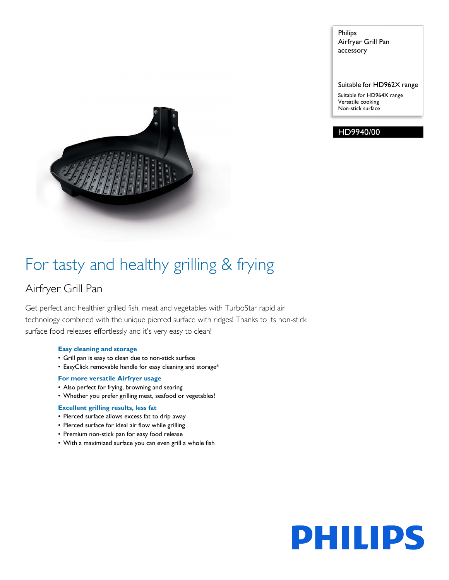Philips Airfryer Grill Pan accessory

Suitable for HD962X range Suitable for HD964X range Versatile cooking Non-stick surface





## For tasty and healthy grilling & frying

### Airfryer Grill Pan

Get perfect and healthier grilled fish, meat and vegetables with TurboStar rapid air technology combined with the unique pierced surface with ridges! Thanks to its non-stick surface food releases effortlessly and it's very easy to clean!

#### **Easy cleaning and storage**

- Grill pan is easy to clean due to non-stick surface
- EasyClick removable handle for easy cleaning and storage\*

#### **For more versatile Airfryer usage**

- Also perfect for frying, browning and searing
- Whether you prefer grilling meat, seafood or vegetables!

#### **Excellent grilling results, less fat**

- Pierced surface allows excess fat to drip away
- Pierced surface for ideal air flow while grilling
- Premium non-stick pan for easy food release
- With a maximized surface you can even grill a whole fish